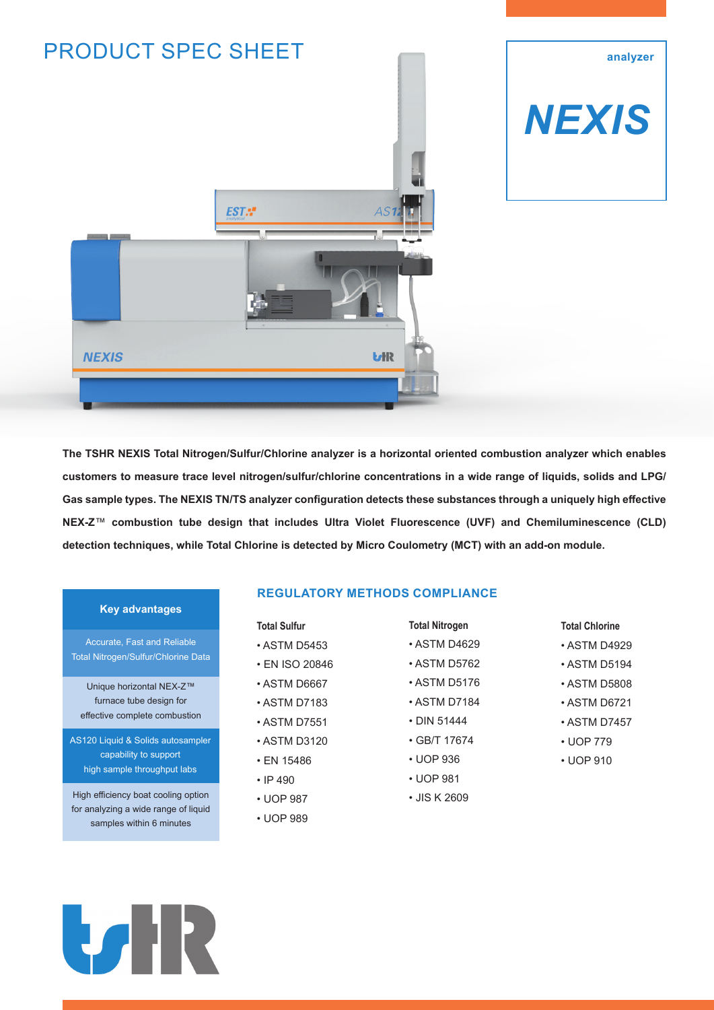

# *NEXIS*

**analyzer**



## **Key advantages**

Accurate, Fast and Reliable Total Nitrogen/Sulfur/Chlorine Data

Unique horizontal NEX-Z™ furnace tube design for effective complete combustion

AS120 Liquid & Solids autosampler capability to support high sample throughput labs

High efficiency boat cooling option for analyzing a wide range of liquid samples within 6 minutes

## **REGULATORY METHODS COMPLIANCE**

### **Total Sulfur**

- ASTM D5453
- EN ISO 20846
- ASTM D6667
- ASTM D7183
- ASTM D7551
- ASTM D3120
- EN 15486
- IP 490
- UOP 987
- UOP 989

• ASTM D5762

**Total Nitrogen** • ASTM D4629

- ASTM D5176
- ASTM D7184
- DIN 51444
- GB/T 17674
- UOP 936
- UOP 981
- JIS K 2609
- **Total Chlorine**
- ASTM D4929
- ASTM D5194
- ASTM D5808
- ASTM D6721
- ASTM D7457
- UOP 779
- UOP 910